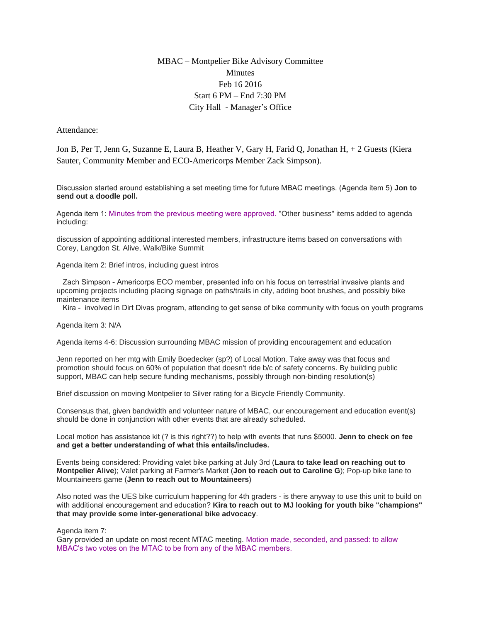## MBAC – Montpelier Bike Advisory Committee **Minutes** Feb 16 2016 Start 6 PM – End 7:30 PM City Hall - Manager's Office

Attendance:

Jon B, Per T, Jenn G, Suzanne E, Laura B, Heather V, Gary H, Farid Q, Jonathan H, + 2 Guests (Kiera Sauter, Community Member and ECO-Americorps Member Zack Simpson).

Discussion started around establishing a set meeting time for future MBAC meetings. (Agenda item 5) **Jon to send out a doodle poll.**

Agenda item 1: Minutes from the previous meeting were approved. "Other business" items added to agenda including:

discussion of appointing additional interested members, infrastructure items based on conversations with Corey, Langdon St. Alive, Walk/Bike Summit

Agenda item 2: Brief intros, including guest intros

 Zach Simpson - Americorps ECO member, presented info on his focus on terrestrial invasive plants and upcoming projects including placing signage on paths/trails in city, adding boot brushes, and possibly bike maintenance items

Kira - involved in Dirt Divas program, attending to get sense of bike community with focus on youth programs

Agenda item 3: N/A

Agenda items 4-6: Discussion surrounding MBAC mission of providing encouragement and education

Jenn reported on her mtg with Emily Boedecker (sp?) of Local Motion. Take away was that focus and promotion should focus on 60% of population that doesn't ride b/c of safety concerns. By building public support, MBAC can help secure funding mechanisms, possibly through non-binding resolution(s)

Brief discussion on moving Montpelier to Silver rating for a Bicycle Friendly Community.

Consensus that, given bandwidth and volunteer nature of MBAC, our encouragement and education event(s) should be done in conjunction with other events that are already scheduled.

Local motion has assistance kit (? is this right??) to help with events that runs \$5000. **Jenn to check on fee and get a better understanding of what this entails/includes.** 

Events being considered: Providing valet bike parking at July 3rd (**Laura to take lead on reaching out to Montpelier Alive**); Valet parking at Farmer's Market (**Jon to reach out to Caroline G**); Pop-up bike lane to Mountaineers game (**Jenn to reach out to Mountaineers**)

Also noted was the UES bike curriculum happening for 4th graders - is there anyway to use this unit to build on with additional encouragement and education? **Kira to reach out to MJ looking for youth bike "champions" that may provide some inter-generational bike advocacy**.

Agenda item 7:

Gary provided an update on most recent MTAC meeting. Motion made, seconded, and passed: to allow MBAC's two votes on the MTAC to be from any of the MBAC members.